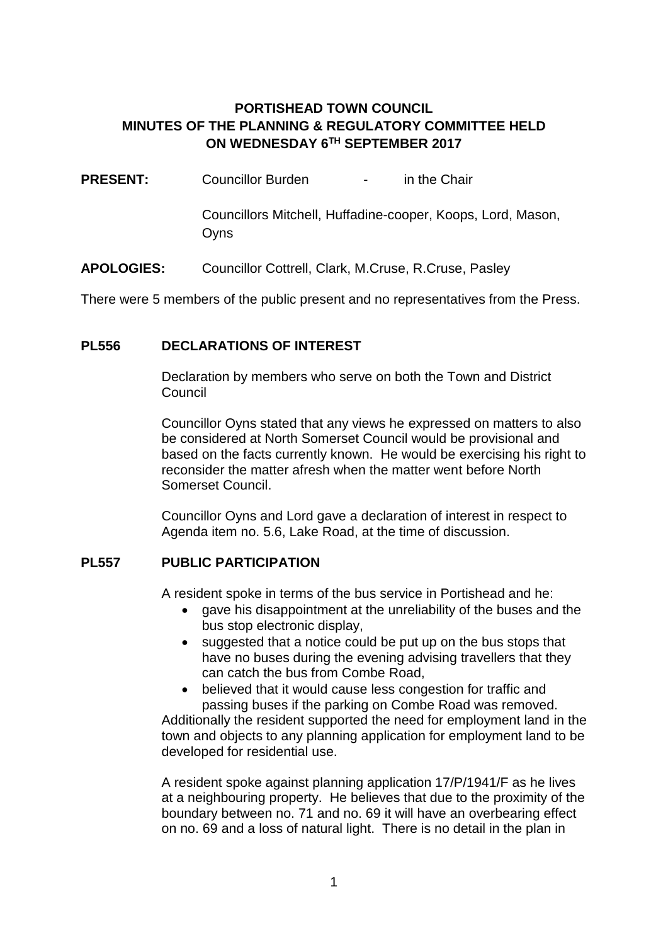# **PORTISHEAD TOWN COUNCIL MINUTES OF THE PLANNING & REGULATORY COMMITTEE HELD ON WEDNESDAY 6TH SEPTEMBER 2017**

**PRESENT:** Councillor Burden - in the Chair

Councillors Mitchell, Huffadine-cooper, Koops, Lord, Mason, **O**vns

**APOLOGIES:** Councillor Cottrell, Clark, M.Cruse, R.Cruse, Pasley

There were 5 members of the public present and no representatives from the Press.

## **PL556 DECLARATIONS OF INTEREST**

Declaration by members who serve on both the Town and District Council

Councillor Oyns stated that any views he expressed on matters to also be considered at North Somerset Council would be provisional and based on the facts currently known. He would be exercising his right to reconsider the matter afresh when the matter went before North Somerset Council.

Councillor Oyns and Lord gave a declaration of interest in respect to Agenda item no. 5.6, Lake Road, at the time of discussion.

## **PL557 PUBLIC PARTICIPATION**

A resident spoke in terms of the bus service in Portishead and he:

- gave his disappointment at the unreliability of the buses and the bus stop electronic display,
- suggested that a notice could be put up on the bus stops that have no buses during the evening advising travellers that they can catch the bus from Combe Road,
- believed that it would cause less congestion for traffic and passing buses if the parking on Combe Road was removed.

Additionally the resident supported the need for employment land in the town and objects to any planning application for employment land to be developed for residential use.

A resident spoke against planning application 17/P/1941/F as he lives at a neighbouring property. He believes that due to the proximity of the boundary between no. 71 and no. 69 it will have an overbearing effect on no. 69 and a loss of natural light. There is no detail in the plan in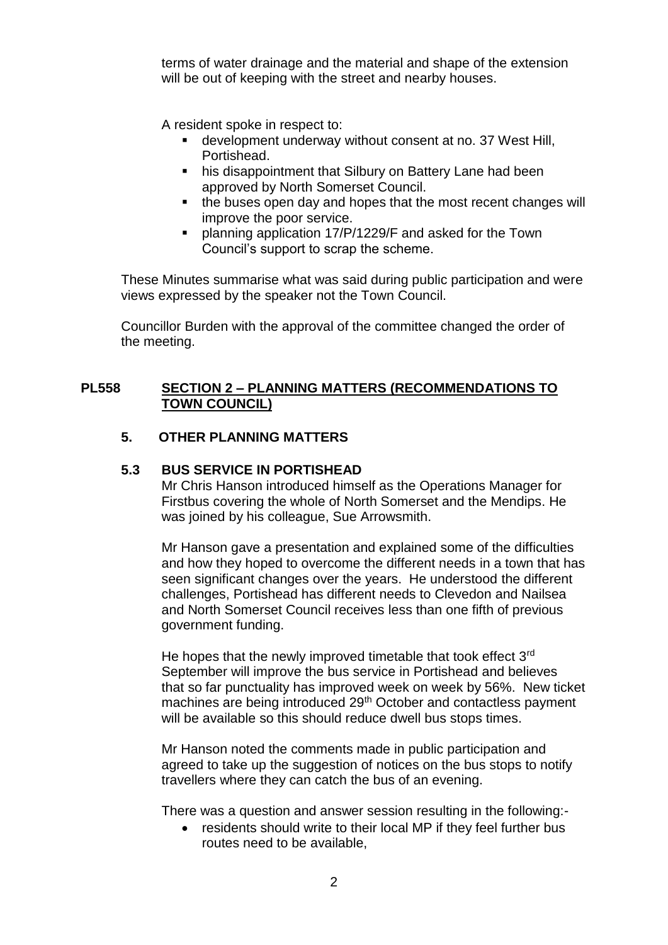terms of water drainage and the material and shape of the extension will be out of keeping with the street and nearby houses.

A resident spoke in respect to:

- development underway without consent at no. 37 West Hill, Portishead.
- his disappointment that Silbury on Battery Lane had been approved by North Somerset Council.
- the buses open day and hopes that the most recent changes will improve the poor service.
- planning application 17/P/1229/F and asked for the Town Council's support to scrap the scheme.

These Minutes summarise what was said during public participation and were views expressed by the speaker not the Town Council.

Councillor Burden with the approval of the committee changed the order of the meeting.

## **PL558 SECTION 2 – PLANNING MATTERS (RECOMMENDATIONS TO TOWN COUNCIL)**

# **5. OTHER PLANNING MATTERS**

## **5.3 BUS SERVICE IN PORTISHEAD**

Mr Chris Hanson introduced himself as the Operations Manager for Firstbus covering the whole of North Somerset and the Mendips. He was joined by his colleague, Sue Arrowsmith.

Mr Hanson gave a presentation and explained some of the difficulties and how they hoped to overcome the different needs in a town that has seen significant changes over the years. He understood the different challenges, Portishead has different needs to Clevedon and Nailsea and North Somerset Council receives less than one fifth of previous government funding.

He hopes that the newly improved timetable that took effect 3<sup>rd</sup> September will improve the bus service in Portishead and believes that so far punctuality has improved week on week by 56%. New ticket machines are being introduced 29<sup>th</sup> October and contactless payment will be available so this should reduce dwell bus stops times.

Mr Hanson noted the comments made in public participation and agreed to take up the suggestion of notices on the bus stops to notify travellers where they can catch the bus of an evening.

There was a question and answer session resulting in the following:-

• residents should write to their local MP if they feel further bus routes need to be available,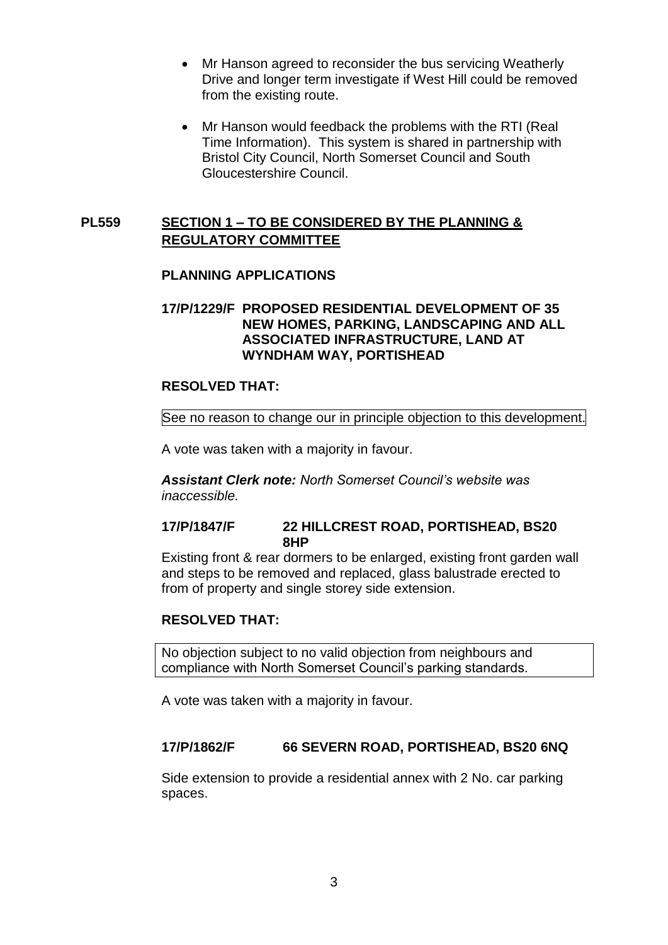- Mr Hanson agreed to reconsider the bus servicing Weatherly Drive and longer term investigate if West Hill could be removed from the existing route.
- Mr Hanson would feedback the problems with the RTI (Real Time Information). This system is shared in partnership with Bristol City Council, North Somerset Council and South Gloucestershire Council.

# **PL559 SECTION 1 – TO BE CONSIDERED BY THE PLANNING & REGULATORY COMMITTEE**

# **PLANNING APPLICATIONS**

## **17/P/1229/F PROPOSED RESIDENTIAL DEVELOPMENT OF 35 NEW HOMES, PARKING, LANDSCAPING AND ALL ASSOCIATED INFRASTRUCTURE, LAND AT WYNDHAM WAY, PORTISHEAD**

# **RESOLVED THAT:**

## See no reason to change our in principle objection to this development.

A vote was taken with a majority in favour.

*Assistant Clerk note: North Somerset Council's website was inaccessible.*

#### **17/P/1847/F 22 HILLCREST ROAD, PORTISHEAD, BS20 8HP**

Existing front & rear dormers to be enlarged, existing front garden wall and steps to be removed and replaced, glass balustrade erected to from of property and single storey side extension.

## **RESOLVED THAT:**

No objection subject to no valid objection from neighbours and compliance with North Somerset Council's parking standards.

A vote was taken with a majority in favour.

# **17/P/1862/F 66 SEVERN ROAD, PORTISHEAD, BS20 6NQ**

Side extension to provide a residential annex with 2 No. car parking spaces.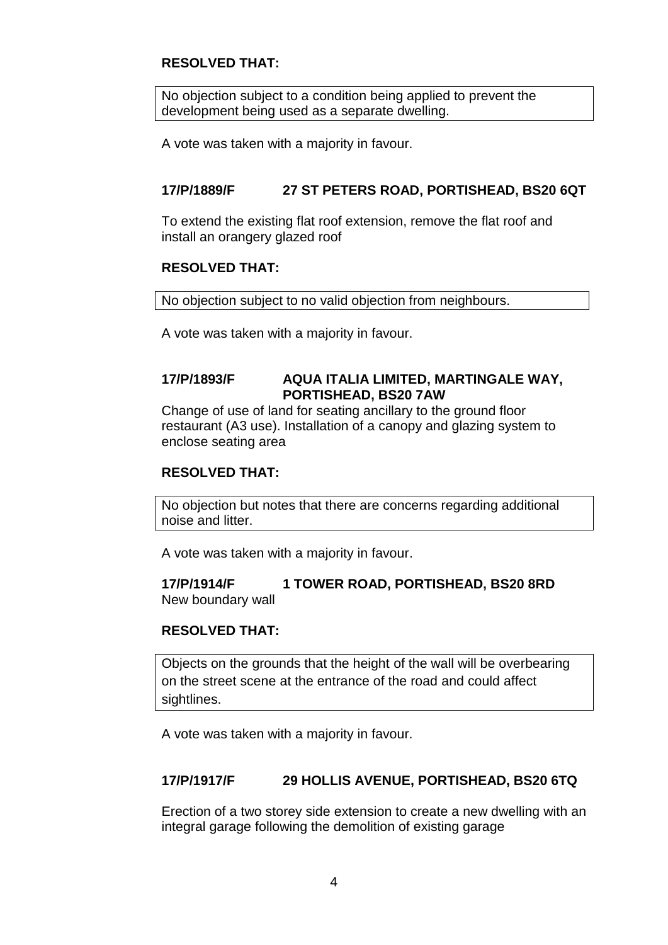# **RESOLVED THAT:**

No objection subject to a condition being applied to prevent the development being used as a separate dwelling.

A vote was taken with a majority in favour.

# **17/P/1889/F 27 ST PETERS ROAD, PORTISHEAD, BS20 6QT**

To extend the existing flat roof extension, remove the flat roof and install an orangery glazed roof

# **RESOLVED THAT:**

No objection subject to no valid objection from neighbours.

A vote was taken with a majority in favour.

# **17/P/1893/F AQUA ITALIA LIMITED, MARTINGALE WAY, PORTISHEAD, BS20 7AW**

Change of use of land for seating ancillary to the ground floor restaurant (A3 use). Installation of a canopy and glazing system to enclose seating area

## **RESOLVED THAT:**

No objection but notes that there are concerns regarding additional noise and litter.

A vote was taken with a majority in favour.

## **17/P/1914/F 1 TOWER ROAD, PORTISHEAD, BS20 8RD** New boundary wall

## **RESOLVED THAT:**

Objects on the grounds that the height of the wall will be overbearing on the street scene at the entrance of the road and could affect sightlines.

A vote was taken with a majority in favour.

# **17/P/1917/F 29 HOLLIS AVENUE, PORTISHEAD, BS20 6TQ**

Erection of a two storey side extension to create a new dwelling with an integral garage following the demolition of existing garage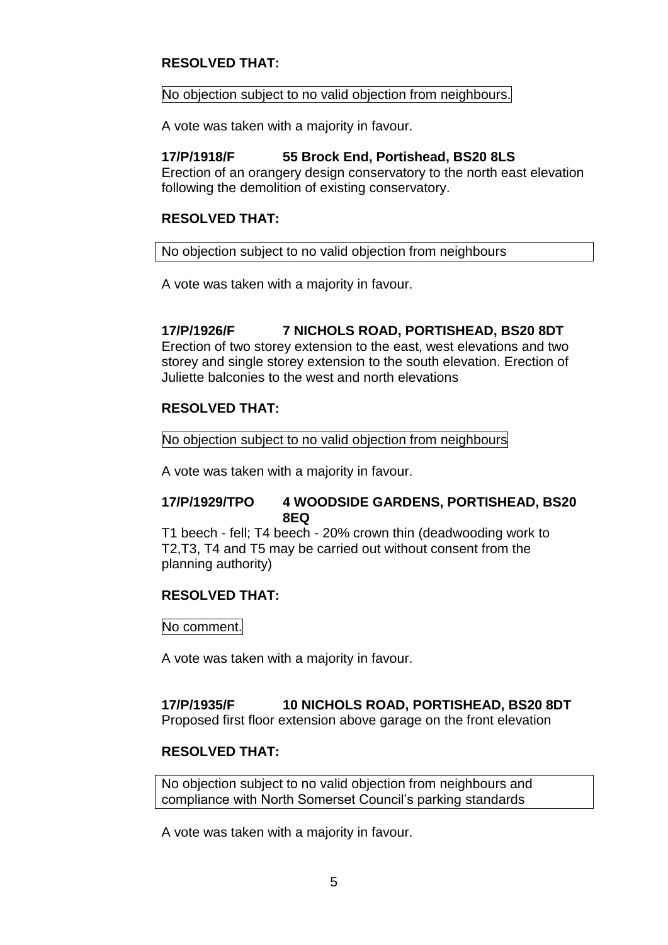## **RESOLVED THAT:**

## No objection subject to no valid objection from neighbours.

A vote was taken with a majority in favour.

## **17/P/1918/F 55 Brock End, Portishead, BS20 8LS**

Erection of an orangery design conservatory to the north east elevation following the demolition of existing conservatory.

## **RESOLVED THAT:**

No objection subject to no valid objection from neighbours

A vote was taken with a majority in favour.

## **17/P/1926/F 7 NICHOLS ROAD, PORTISHEAD, BS20 8DT**

Erection of two storey extension to the east, west elevations and two storey and single storey extension to the south elevation. Erection of Juliette balconies to the west and north elevations

## **RESOLVED THAT:**

No objection subject to no valid objection from neighbours

A vote was taken with a majority in favour.

## **17/P/1929/TPO 4 WOODSIDE GARDENS, PORTISHEAD, BS20 8EQ**

T1 beech - fell; T4 beech - 20% crown thin (deadwooding work to T2,T3, T4 and T5 may be carried out without consent from the planning authority)

## **RESOLVED THAT:**

No comment.

A vote was taken with a majority in favour.

# **17/P/1935/F 10 NICHOLS ROAD, PORTISHEAD, BS20 8DT**

Proposed first floor extension above garage on the front elevation

## **RESOLVED THAT:**

No objection subject to no valid objection from neighbours and compliance with North Somerset Council's parking standards

A vote was taken with a majority in favour.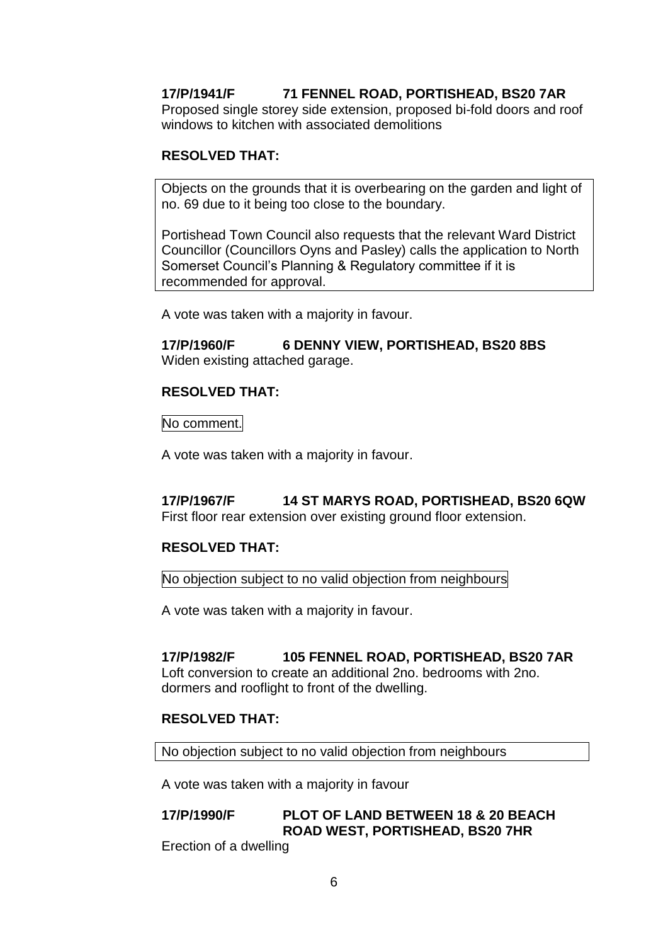# **17/P/1941/F 71 FENNEL ROAD, PORTISHEAD, BS20 7AR**

Proposed single storey side extension, proposed bi-fold doors and roof windows to kitchen with associated demolitions

## **RESOLVED THAT:**

Objects on the grounds that it is overbearing on the garden and light of no. 69 due to it being too close to the boundary.

Portishead Town Council also requests that the relevant Ward District Councillor (Councillors Oyns and Pasley) calls the application to North Somerset Council's Planning & Regulatory committee if it is recommended for approval.

A vote was taken with a majority in favour.

**17/P/1960/F 6 DENNY VIEW, PORTISHEAD, BS20 8BS** Widen existing attached garage.

## **RESOLVED THAT:**

No comment.

A vote was taken with a majority in favour.

**17/P/1967/F 14 ST MARYS ROAD, PORTISHEAD, BS20 6QW** First floor rear extension over existing ground floor extension.

# **RESOLVED THAT:**

No objection subject to no valid objection from neighbours

A vote was taken with a majority in favour.

**17/P/1982/F 105 FENNEL ROAD, PORTISHEAD, BS20 7AR** Loft conversion to create an additional 2no. bedrooms with 2no.

dormers and rooflight to front of the dwelling.

## **RESOLVED THAT:**

No objection subject to no valid objection from neighbours

A vote was taken with a majority in favour

## **17/P/1990/F PLOT OF LAND BETWEEN 18 & 20 BEACH ROAD WEST, PORTISHEAD, BS20 7HR**

Erection of a dwelling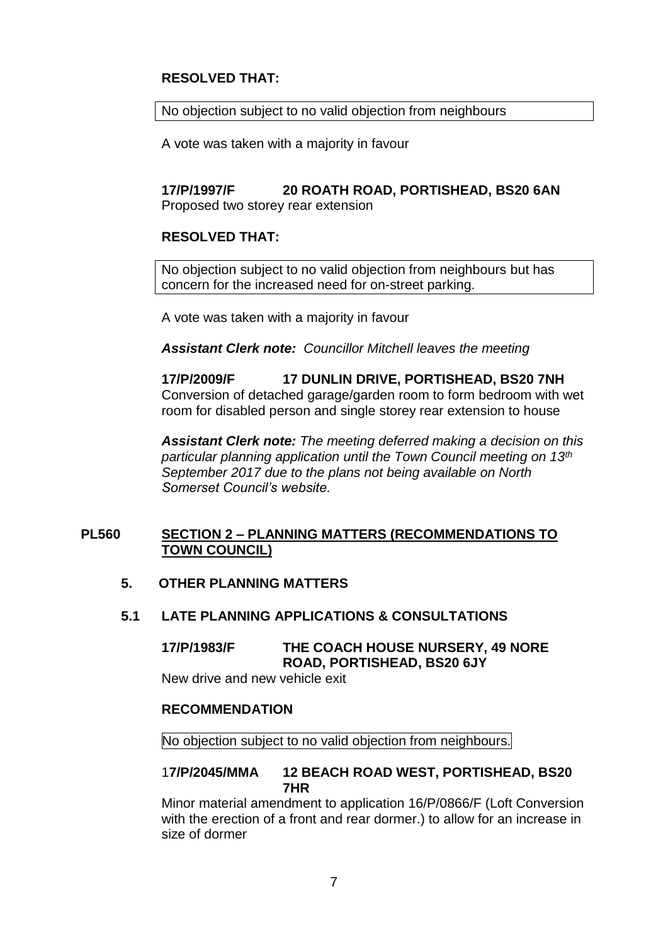# **RESOLVED THAT:**

#### No objection subject to no valid objection from neighbours

A vote was taken with a majority in favour

**17/P/1997/F 20 ROATH ROAD, PORTISHEAD, BS20 6AN** Proposed two storey rear extension

## **RESOLVED THAT:**

No objection subject to no valid objection from neighbours but has concern for the increased need for on-street parking.

A vote was taken with a majority in favour

*Assistant Clerk note: Councillor Mitchell leaves the meeting*

**17/P/2009/F 17 DUNLIN DRIVE, PORTISHEAD, BS20 7NH** Conversion of detached garage/garden room to form bedroom with wet room for disabled person and single storey rear extension to house

*Assistant Clerk note: The meeting deferred making a decision on this particular planning application until the Town Council meeting on 13th September 2017 due to the plans not being available on North Somerset Council's website.*

## **PL560 SECTION 2 – PLANNING MATTERS (RECOMMENDATIONS TO TOWN COUNCIL)**

## **5. OTHER PLANNING MATTERS**

## **5.1 LATE PLANNING APPLICATIONS & CONSULTATIONS**

#### **17/P/1983/F THE COACH HOUSE NURSERY, 49 NORE ROAD, PORTISHEAD, BS20 6JY**

New drive and new vehicle exit

## **RECOMMENDATION**

No objection subject to no valid objection from neighbours.

## 1**7/P/2045/MMA 12 BEACH ROAD WEST, PORTISHEAD, BS20 7HR**

Minor material amendment to application 16/P/0866/F (Loft Conversion with the erection of a front and rear dormer.) to allow for an increase in size of dormer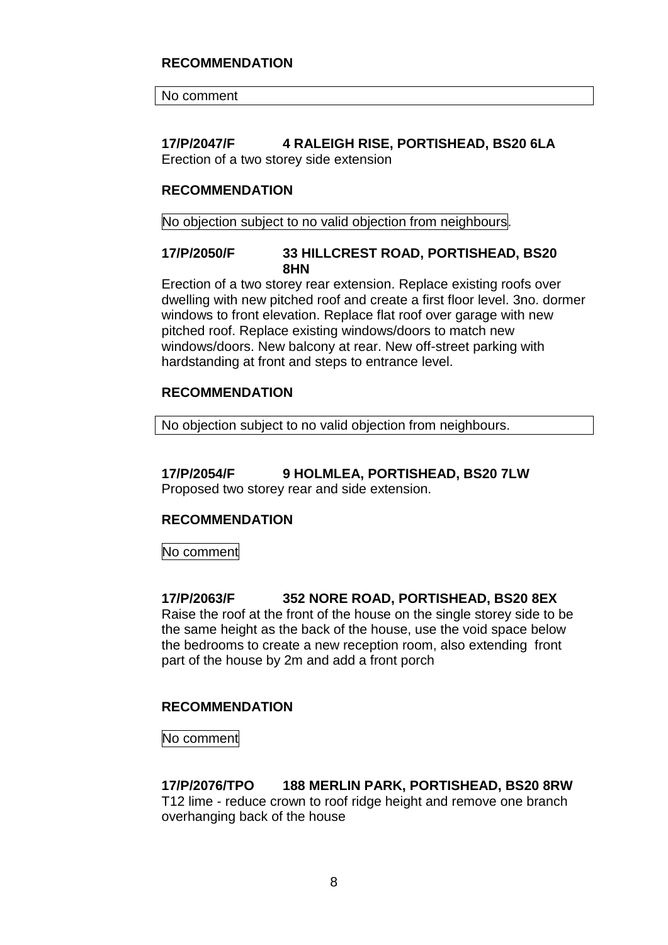No comment

# **17/P/2047/F 4 RALEIGH RISE, PORTISHEAD, BS20 6LA**

Erection of a two storey side extension

## **RECOMMENDATION**

No objection subject to no valid objection from neighbours.

#### **17/P/2050/F 33 HILLCREST ROAD, PORTISHEAD, BS20 8HN**

Erection of a two storey rear extension. Replace existing roofs over dwelling with new pitched roof and create a first floor level. 3no. dormer windows to front elevation. Replace flat roof over garage with new pitched roof. Replace existing windows/doors to match new windows/doors. New balcony at rear. New off-street parking with hardstanding at front and steps to entrance level.

## **RECOMMENDATION**

No objection subject to no valid objection from neighbours.

# **17/P/2054/F 9 HOLMLEA, PORTISHEAD, BS20 7LW**

Proposed two storey rear and side extension.

## **RECOMMENDATION**

No comment

## **17/P/2063/F 352 NORE ROAD, PORTISHEAD, BS20 8EX**

Raise the roof at the front of the house on the single storey side to be the same height as the back of the house, use the void space below the bedrooms to create a new reception room, also extending front part of the house by 2m and add a front porch

## **RECOMMENDATION**

No comment

## **17/P/2076/TPO 188 MERLIN PARK, PORTISHEAD, BS20 8RW**

T12 lime - reduce crown to roof ridge height and remove one branch overhanging back of the house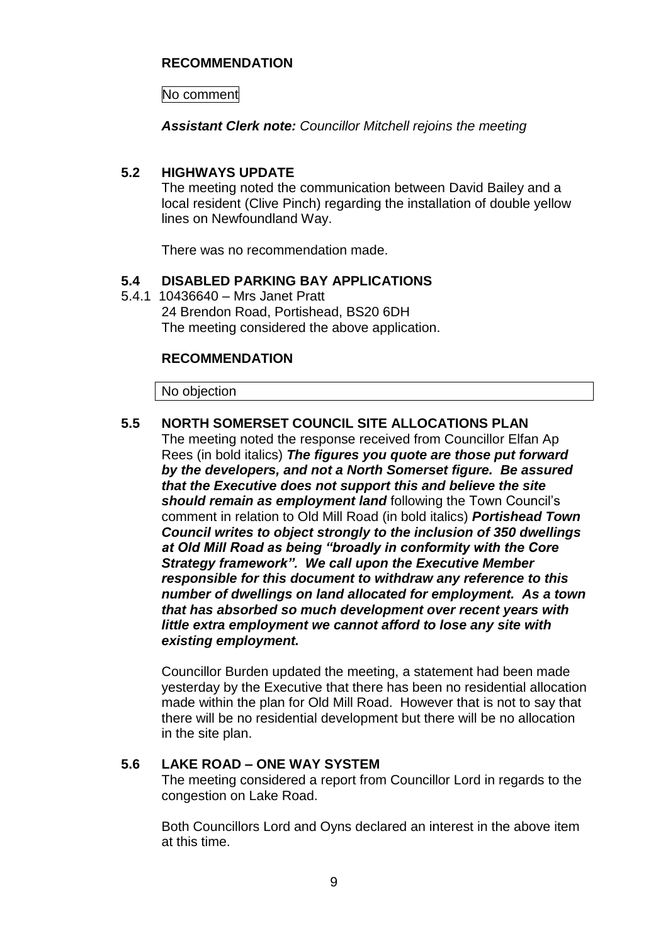## No comment

*Assistant Clerk note: Councillor Mitchell rejoins the meeting*

## **5.2 HIGHWAYS UPDATE**

The meeting noted the communication between David Bailey and a local resident (Clive Pinch) regarding the installation of double yellow lines on Newfoundland Way.

There was no recommendation made.

## **5.4 DISABLED PARKING BAY APPLICATIONS**

5.4.1 10436640 – Mrs Janet Pratt 24 Brendon Road, Portishead, BS20 6DH The meeting considered the above application.

## **RECOMMENDATION**

No objection

## **5.5 NORTH SOMERSET COUNCIL SITE ALLOCATIONS PLAN**

The meeting noted the response received from Councillor Elfan Ap Rees (in bold italics) *The figures you quote are those put forward by the developers, and not a North Somerset figure. Be assured that the Executive does not support this and believe the site should remain as employment land* following the Town Council's comment in relation to Old Mill Road (in bold italics) *Portishead Town Council writes to object strongly to the inclusion of 350 dwellings at Old Mill Road as being "broadly in conformity with the Core Strategy framework". We call upon the Executive Member responsible for this document to withdraw any reference to this number of dwellings on land allocated for employment. As a town that has absorbed so much development over recent years with little extra employment we cannot afford to lose any site with existing employment.*

Councillor Burden updated the meeting, a statement had been made yesterday by the Executive that there has been no residential allocation made within the plan for Old Mill Road. However that is not to say that there will be no residential development but there will be no allocation in the site plan.

## **5.6 LAKE ROAD – ONE WAY SYSTEM**

The meeting considered a report from Councillor Lord in regards to the congestion on Lake Road.

Both Councillors Lord and Oyns declared an interest in the above item at this time.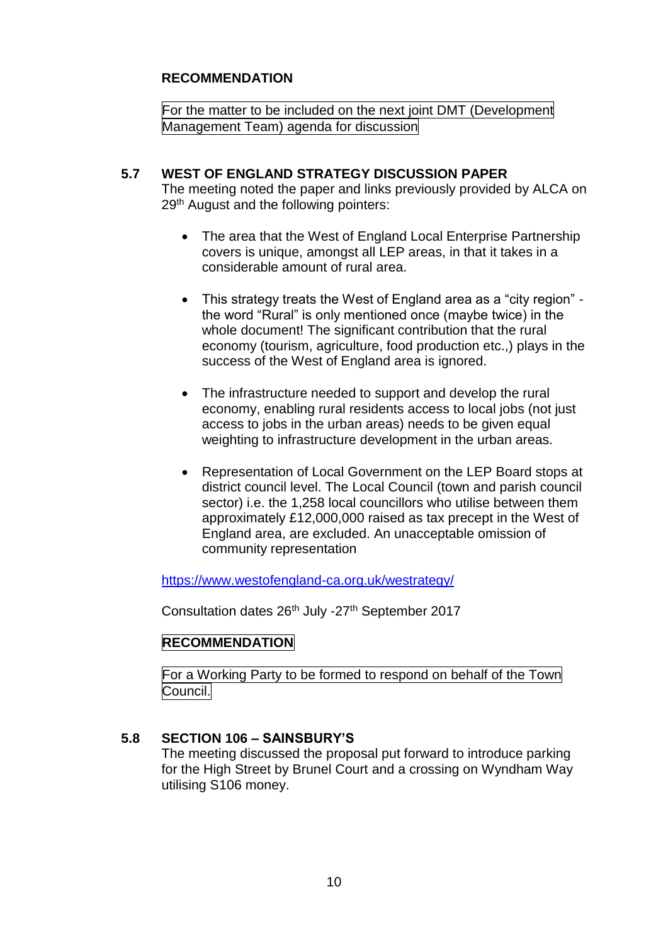For the matter to be included on the next joint DMT (Development Management Team) agenda for discussion

## **5.7 WEST OF ENGLAND STRATEGY DISCUSSION PAPER**

The meeting noted the paper and links previously provided by ALCA on 29<sup>th</sup> August and the following pointers:

- The area that the West of England Local Enterprise Partnership covers is unique, amongst all LEP areas, in that it takes in a considerable amount of rural area.
- This strategy treats the West of England area as a "city region" the word "Rural" is only mentioned once (maybe twice) in the whole document! The significant contribution that the rural economy (tourism, agriculture, food production etc.,) plays in the success of the West of England area is ignored.
- The infrastructure needed to support and develop the rural economy, enabling rural residents access to local jobs (not just access to jobs in the urban areas) needs to be given equal weighting to infrastructure development in the urban areas.
- Representation of Local Government on the LEP Board stops at district council level. The Local Council (town and parish council sector) i.e. the 1,258 local councillors who utilise between them approximately £12,000,000 raised as tax precept in the West of England area, are excluded. An unacceptable omission of community representation

<https://www.westofengland-ca.org.uk/westrategy/>

Consultation dates 26<sup>th</sup> July -27<sup>th</sup> September 2017

# **RECOMMENDATION**

For a Working Party to be formed to respond on behalf of the Town Council.

# **5.8 SECTION 106 – SAINSBURY'S**

The meeting discussed the proposal put forward to introduce parking for the High Street by Brunel Court and a crossing on Wyndham Way utilising S106 money.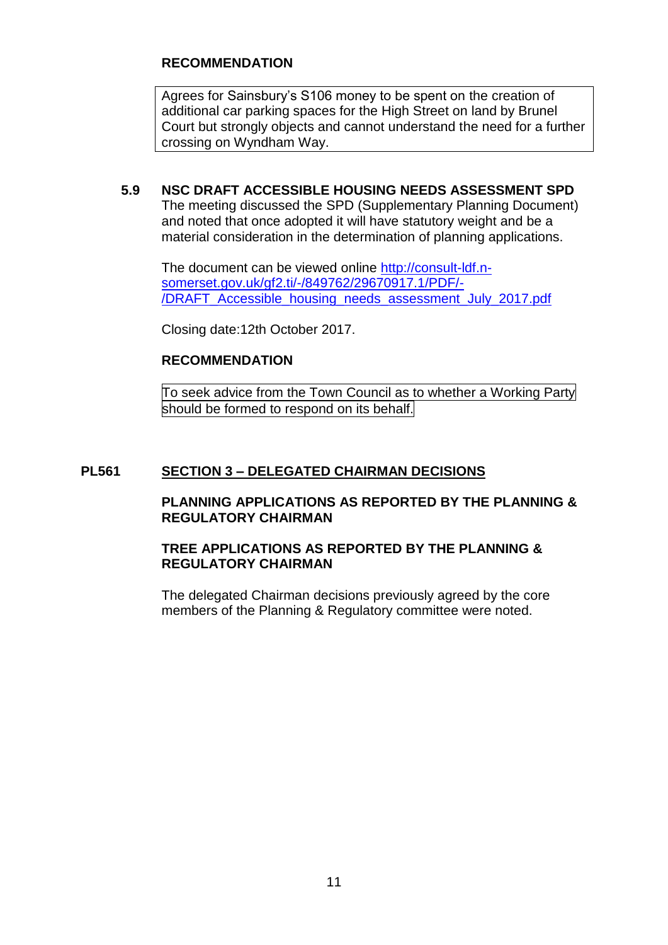Agrees for Sainsbury's S106 money to be spent on the creation of additional car parking spaces for the High Street on land by Brunel Court but strongly objects and cannot understand the need for a further crossing on Wyndham Way.

# **5.9 NSC DRAFT ACCESSIBLE HOUSING NEEDS ASSESSMENT SPD**

The meeting discussed the SPD (Supplementary Planning Document) and noted that once adopted it will have statutory weight and be a material consideration in the determination of planning applications.

The document can be viewed online [http://consult-ldf.n](http://consult-ldf.n-somerset.gov.uk/gf2.ti/-/849762/29670917.1/PDF/-/DRAFT_Accessible_housing_needs_assessment_July_2017.pdf)[somerset.gov.uk/gf2.ti/-/849762/29670917.1/PDF/-](http://consult-ldf.n-somerset.gov.uk/gf2.ti/-/849762/29670917.1/PDF/-/DRAFT_Accessible_housing_needs_assessment_July_2017.pdf) [/DRAFT\\_Accessible\\_housing\\_needs\\_assessment\\_July\\_2017.pdf](http://consult-ldf.n-somerset.gov.uk/gf2.ti/-/849762/29670917.1/PDF/-/DRAFT_Accessible_housing_needs_assessment_July_2017.pdf)

Closing date:12th October 2017.

## **RECOMMENDATION**

To seek advice from the Town Council as to whether a Working Party should be formed to respond on its behalf.

## **PL561 SECTION 3 – DELEGATED CHAIRMAN DECISIONS**

## **PLANNING APPLICATIONS AS REPORTED BY THE PLANNING & REGULATORY CHAIRMAN**

## **TREE APPLICATIONS AS REPORTED BY THE PLANNING & REGULATORY CHAIRMAN**

The delegated Chairman decisions previously agreed by the core members of the Planning & Regulatory committee were noted.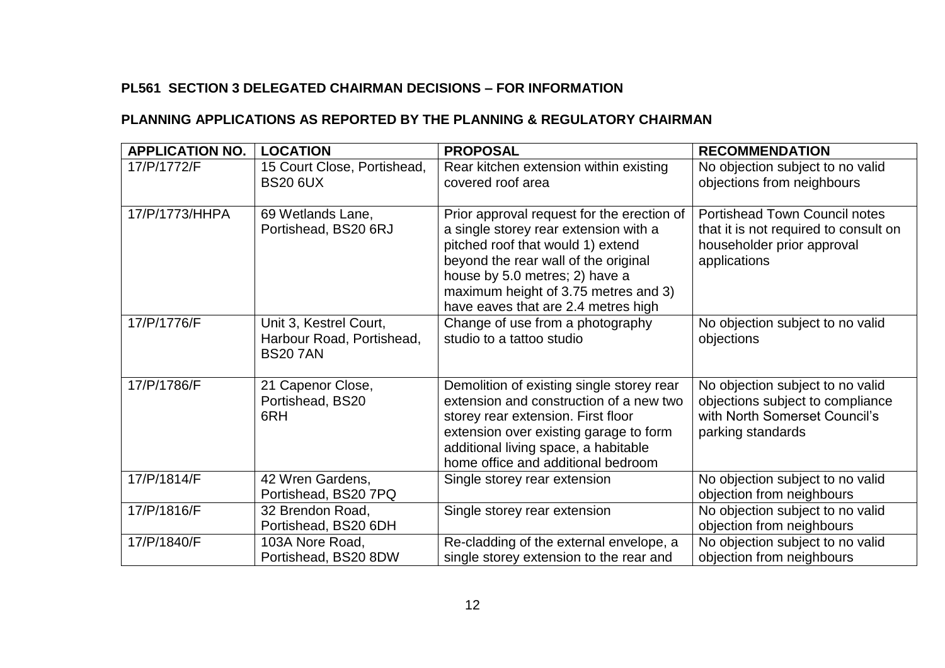# **PL561 SECTION 3 DELEGATED CHAIRMAN DECISIONS – FOR INFORMATION**

# **PLANNING APPLICATIONS AS REPORTED BY THE PLANNING & REGULATORY CHAIRMAN**

| <b>APPLICATION NO.</b> | <b>LOCATION</b>                                                       | <b>PROPOSAL</b>                                                                                                                                                                                                                                                                   | <b>RECOMMENDATION</b>                                                                                                       |
|------------------------|-----------------------------------------------------------------------|-----------------------------------------------------------------------------------------------------------------------------------------------------------------------------------------------------------------------------------------------------------------------------------|-----------------------------------------------------------------------------------------------------------------------------|
| 17/P/1772/F            | 15 Court Close, Portishead,<br><b>BS20 6UX</b>                        | Rear kitchen extension within existing<br>covered roof area                                                                                                                                                                                                                       | No objection subject to no valid<br>objections from neighbours                                                              |
| 17/P/1773/HHPA         | 69 Wetlands Lane,<br>Portishead, BS20 6RJ                             | Prior approval request for the erection of<br>a single storey rear extension with a<br>pitched roof that would 1) extend<br>beyond the rear wall of the original<br>house by 5.0 metres; 2) have a<br>maximum height of 3.75 metres and 3)<br>have eaves that are 2.4 metres high | <b>Portishead Town Council notes</b><br>that it is not required to consult on<br>householder prior approval<br>applications |
| 17/P/1776/F            | Unit 3, Kestrel Court,<br>Harbour Road, Portishead,<br><b>BS207AN</b> | Change of use from a photography<br>studio to a tattoo studio                                                                                                                                                                                                                     | No objection subject to no valid<br>objections                                                                              |
| 17/P/1786/F            | 21 Capenor Close,<br>Portishead, BS20<br>6RH                          | Demolition of existing single storey rear<br>extension and construction of a new two<br>storey rear extension. First floor<br>extension over existing garage to form<br>additional living space, a habitable<br>home office and additional bedroom                                | No objection subject to no valid<br>objections subject to compliance<br>with North Somerset Council's<br>parking standards  |
| 17/P/1814/F            | 42 Wren Gardens,<br>Portishead, BS20 7PQ                              | Single storey rear extension                                                                                                                                                                                                                                                      | No objection subject to no valid<br>objection from neighbours                                                               |
| 17/P/1816/F            | 32 Brendon Road,<br>Portishead, BS20 6DH                              | Single storey rear extension                                                                                                                                                                                                                                                      | No objection subject to no valid<br>objection from neighbours                                                               |
| 17/P/1840/F            | 103A Nore Road,<br>Portishead, BS20 8DW                               | Re-cladding of the external envelope, a<br>single storey extension to the rear and                                                                                                                                                                                                | No objection subject to no valid<br>objection from neighbours                                                               |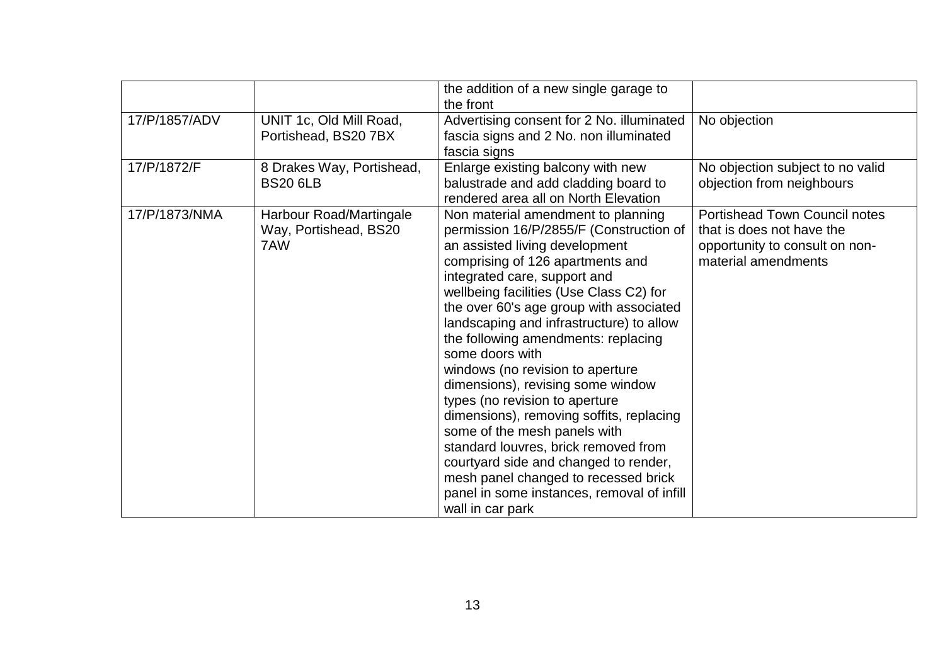|               |                                                         | the addition of a new single garage to<br>the front                                                                                                                                                                                                                                                                                                                                                                                                                                                                                                                                                                                                                                                                                                               |                                                                                                                            |
|---------------|---------------------------------------------------------|-------------------------------------------------------------------------------------------------------------------------------------------------------------------------------------------------------------------------------------------------------------------------------------------------------------------------------------------------------------------------------------------------------------------------------------------------------------------------------------------------------------------------------------------------------------------------------------------------------------------------------------------------------------------------------------------------------------------------------------------------------------------|----------------------------------------------------------------------------------------------------------------------------|
| 17/P/1857/ADV | UNIT 1c, Old Mill Road,<br>Portishead, BS20 7BX         | Advertising consent for 2 No. illuminated<br>fascia signs and 2 No. non illuminated<br>fascia signs                                                                                                                                                                                                                                                                                                                                                                                                                                                                                                                                                                                                                                                               | No objection                                                                                                               |
| 17/P/1872/F   | 8 Drakes Way, Portishead,<br><b>BS20 6LB</b>            | Enlarge existing balcony with new<br>balustrade and add cladding board to<br>rendered area all on North Elevation                                                                                                                                                                                                                                                                                                                                                                                                                                                                                                                                                                                                                                                 | No objection subject to no valid<br>objection from neighbours                                                              |
| 17/P/1873/NMA | Harbour Road/Martingale<br>Way, Portishead, BS20<br>7AW | Non material amendment to planning<br>permission 16/P/2855/F (Construction of<br>an assisted living development<br>comprising of 126 apartments and<br>integrated care, support and<br>wellbeing facilities (Use Class C2) for<br>the over 60's age group with associated<br>landscaping and infrastructure) to allow<br>the following amendments: replacing<br>some doors with<br>windows (no revision to aperture<br>dimensions), revising some window<br>types (no revision to aperture<br>dimensions), removing soffits, replacing<br>some of the mesh panels with<br>standard louvres, brick removed from<br>courtyard side and changed to render,<br>mesh panel changed to recessed brick<br>panel in some instances, removal of infill<br>wall in car park | <b>Portishead Town Council notes</b><br>that is does not have the<br>opportunity to consult on non-<br>material amendments |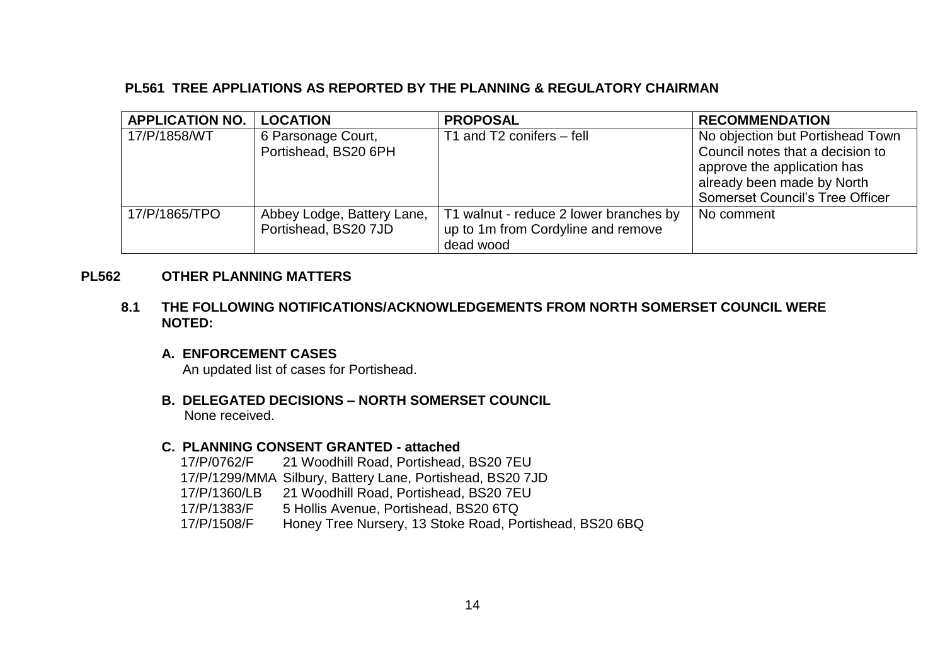## **PL561 TREE APPLIATIONS AS REPORTED BY THE PLANNING & REGULATORY CHAIRMAN**

| <b>APPLICATION NO.</b> | <b>LOCATION</b>                                    | <b>PROPOSAL</b>                                                                           | <b>RECOMMENDATION</b>                                                                                                                                                       |
|------------------------|----------------------------------------------------|-------------------------------------------------------------------------------------------|-----------------------------------------------------------------------------------------------------------------------------------------------------------------------------|
| 17/P/1858/WT           | 6 Parsonage Court,<br>Portishead, BS20 6PH         | T1 and T2 conifers – fell                                                                 | No objection but Portishead Town<br>Council notes that a decision to<br>approve the application has<br>already been made by North<br><b>Somerset Council's Tree Officer</b> |
| 17/P/1865/TPO          | Abbey Lodge, Battery Lane,<br>Portishead, BS20 7JD | T1 walnut - reduce 2 lower branches by<br>up to 1m from Cordyline and remove<br>dead wood | No comment                                                                                                                                                                  |

## **PL562 OTHER PLANNING MATTERS**

- **8.1 THE FOLLOWING NOTIFICATIONS/ACKNOWLEDGEMENTS FROM NORTH SOMERSET COUNCIL WERE NOTED:**
	- **A. ENFORCEMENT CASES**

An updated list of cases for Portishead.

**B. DELEGATED DECISIONS – NORTH SOMERSET COUNCIL** None received.

#### **C. PLANNING CONSENT GRANTED - attached**

17/P/0762/F 21 Woodhill Road, Portishead, BS20 7EU 17/P/1299/MMA Silbury, Battery Lane, Portishead, BS20 7JD 17/P/1360/LB 21 Woodhill Road, Portishead, BS20 7EU 5 Hollis Avenue, Portishead, BS20 6TQ 17/P/1508/F Honey Tree Nursery, 13 Stoke Road, Portishead, BS20 6BQ